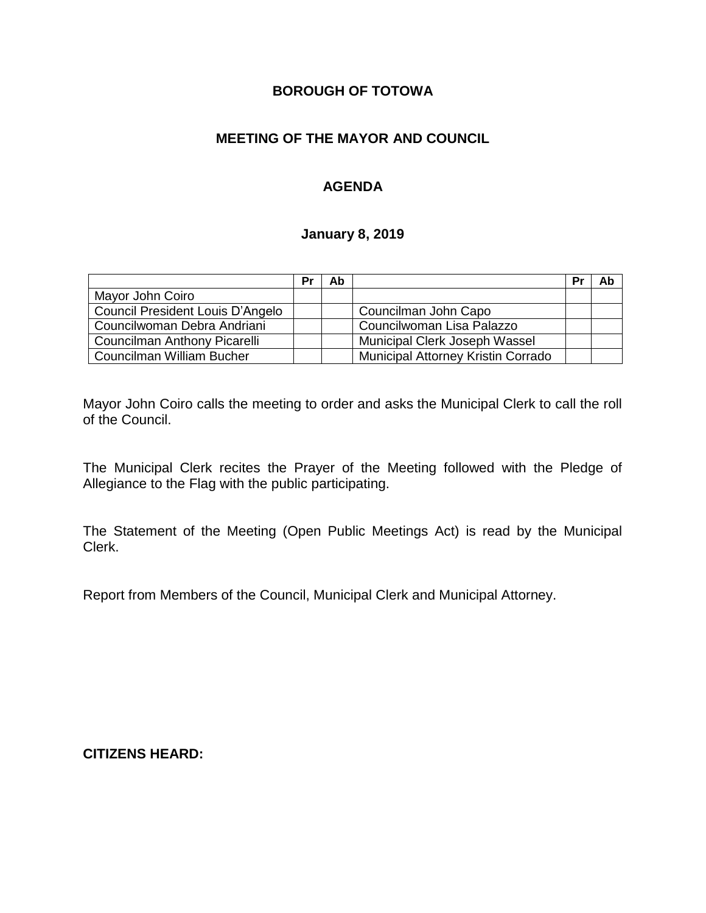# **BOROUGH OF TOTOWA**

# **MEETING OF THE MAYOR AND COUNCIL**

# **AGENDA**

#### **January 8, 2019**

|                                  | Pr | Ab |                                    | Pr | Ab |
|----------------------------------|----|----|------------------------------------|----|----|
| Mayor John Coiro                 |    |    |                                    |    |    |
| Council President Louis D'Angelo |    |    | Councilman John Capo               |    |    |
| Councilwoman Debra Andriani      |    |    | Councilwoman Lisa Palazzo          |    |    |
| Councilman Anthony Picarelli     |    |    | Municipal Clerk Joseph Wassel      |    |    |
| Councilman William Bucher        |    |    | Municipal Attorney Kristin Corrado |    |    |

Mayor John Coiro calls the meeting to order and asks the Municipal Clerk to call the roll of the Council.

The Municipal Clerk recites the Prayer of the Meeting followed with the Pledge of Allegiance to the Flag with the public participating.

The Statement of the Meeting (Open Public Meetings Act) is read by the Municipal Clerk.

Report from Members of the Council, Municipal Clerk and Municipal Attorney.

**CITIZENS HEARD:**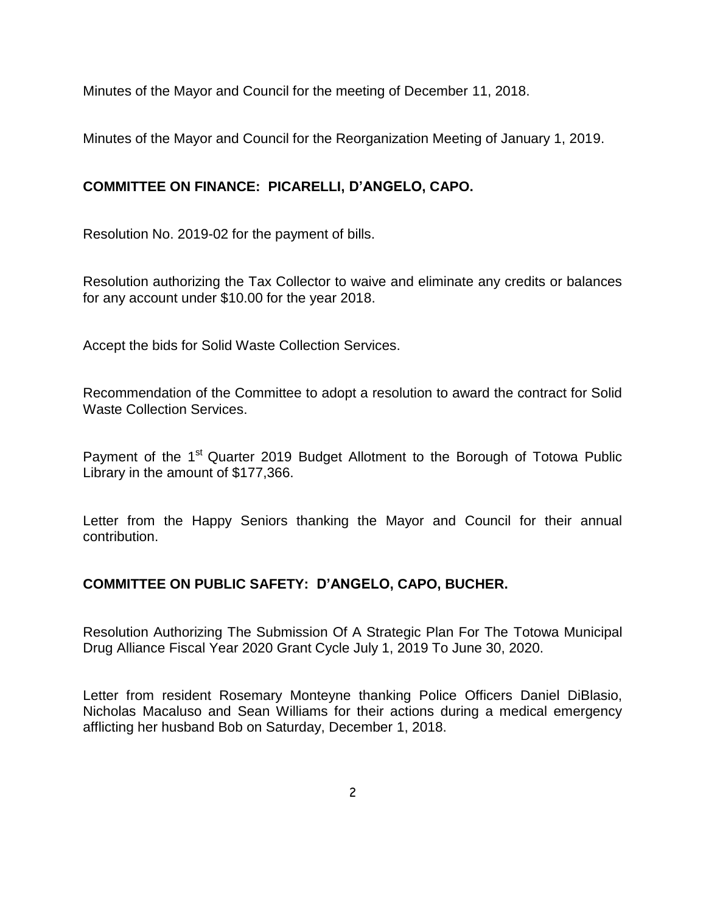Minutes of the Mayor and Council for the meeting of December 11, 2018.

Minutes of the Mayor and Council for the Reorganization Meeting of January 1, 2019.

# **COMMITTEE ON FINANCE: PICARELLI, D'ANGELO, CAPO.**

Resolution No. 2019-02 for the payment of bills.

Resolution authorizing the Tax Collector to waive and eliminate any credits or balances for any account under \$10.00 for the year 2018.

Accept the bids for Solid Waste Collection Services.

Recommendation of the Committee to adopt a resolution to award the contract for Solid Waste Collection Services.

Payment of the 1<sup>st</sup> Quarter 2019 Budget Allotment to the Borough of Totowa Public Library in the amount of \$177,366.

Letter from the Happy Seniors thanking the Mayor and Council for their annual contribution.

# **COMMITTEE ON PUBLIC SAFETY: D'ANGELO, CAPO, BUCHER.**

Resolution Authorizing The Submission Of A Strategic Plan For The Totowa Municipal Drug Alliance Fiscal Year 2020 Grant Cycle July 1, 2019 To June 30, 2020.

Letter from resident Rosemary Monteyne thanking Police Officers Daniel DiBlasio, Nicholas Macaluso and Sean Williams for their actions during a medical emergency afflicting her husband Bob on Saturday, December 1, 2018.